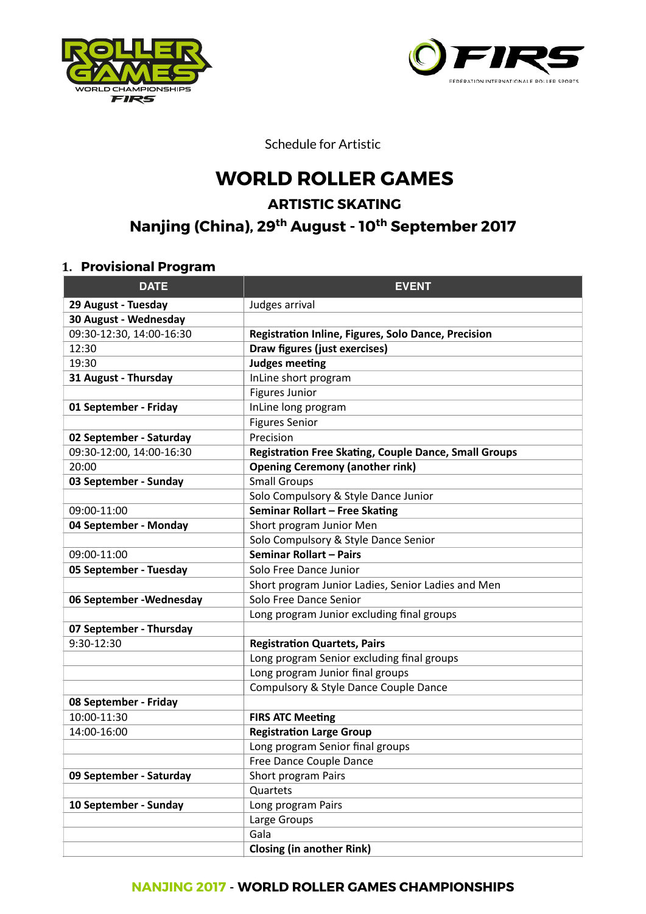



Schedule for Artistic

# **WORLD ROLLER GAMES**

# **ARTISTIC SKATING**

# **Nanjing (China), 29th August - 10th September 2017**

#### **1. Provisional Program**

| <b>DATE</b>              | <b>EVENT</b>                                                 |
|--------------------------|--------------------------------------------------------------|
| 29 August - Tuesday      | Judges arrival                                               |
| 30 August - Wednesday    |                                                              |
| 09:30-12:30, 14:00-16:30 | Registration Inline, Figures, Solo Dance, Precision          |
| 12:30                    | Draw figures (just exercises)                                |
| 19:30                    | <b>Judges meeting</b>                                        |
| 31 August - Thursday     | InLine short program                                         |
|                          | <b>Figures Junior</b>                                        |
| 01 September - Friday    | InLine long program                                          |
|                          | <b>Figures Senior</b>                                        |
| 02 September - Saturday  | Precision                                                    |
| 09:30-12:00, 14:00-16:30 | <b>Registration Free Skating, Couple Dance, Small Groups</b> |
| 20:00                    | <b>Opening Ceremony (another rink)</b>                       |
| 03 September - Sunday    | <b>Small Groups</b>                                          |
|                          | Solo Compulsory & Style Dance Junior                         |
| 09:00-11:00              | Seminar Rollart - Free Skating                               |
| 04 September - Monday    | Short program Junior Men                                     |
|                          | Solo Compulsory & Style Dance Senior                         |
| 09:00-11:00              | Seminar Rollart - Pairs                                      |
| 05 September - Tuesday   | Solo Free Dance Junior                                       |
|                          | Short program Junior Ladies, Senior Ladies and Men           |
| 06 September - Wednesday | Solo Free Dance Senior                                       |
|                          | Long program Junior excluding final groups                   |
| 07 September - Thursday  |                                                              |
| 9:30-12:30               | <b>Registration Quartets, Pairs</b>                          |
|                          | Long program Senior excluding final groups                   |
|                          | Long program Junior final groups                             |
|                          | Compulsory & Style Dance Couple Dance                        |
| 08 September - Friday    |                                                              |
| 10:00-11:30              | <b>FIRS ATC Meeting</b>                                      |
| 14:00-16:00              | <b>Registration Large Group</b>                              |
|                          | Long program Senior final groups                             |
|                          | Free Dance Couple Dance                                      |
| 09 September - Saturday  | Short program Pairs                                          |
|                          | Quartets                                                     |
| 10 September - Sunday    | Long program Pairs                                           |
|                          | Large Groups                                                 |
|                          | Gala                                                         |
|                          | <b>Closing (in another Rink)</b>                             |

#### **NANJING 2017** - **WORLD ROLLER GAMES CHAMPIONSHIPS**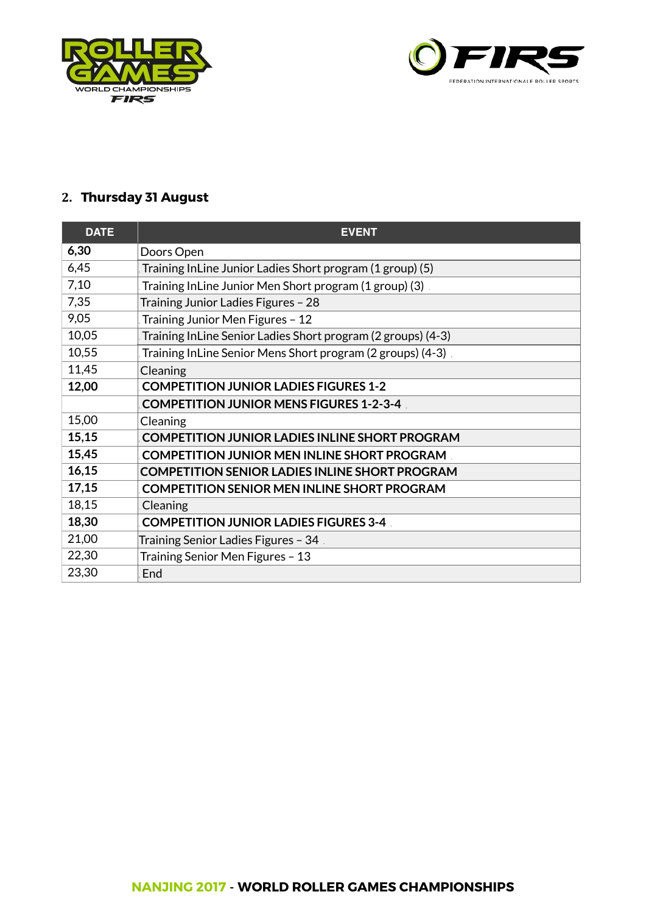



# **2. Thursday 31 August**

| <b>DATE</b> | <b>EVENT</b>                                                 |
|-------------|--------------------------------------------------------------|
| 6,30        | Doors Open                                                   |
| 6,45        | Training InLine Junior Ladies Short program (1 group) (5)    |
| 7,10        | Training InLine Junior Men Short program (1 group) (3)       |
| 7,35        | Training Junior Ladies Figures - 28                          |
| 9,05        | Training Junior Men Figures - 12                             |
| 10,05       | Training InLine Senior Ladies Short program (2 groups) (4-3) |
| 10,55       | Training InLine Senior Mens Short program (2 groups) (4-3).  |
| 11,45       | Cleaning                                                     |
| 12,00       | <b>COMPETITION JUNIOR LADIES FIGURES 1-2</b>                 |
|             | <b>COMPETITION JUNIOR MENS FIGURES 1-2-3-4</b>               |
| 15,00       | Cleaning                                                     |
| 15,15       | <b>COMPETITION JUNIOR LADIES INLINE SHORT PROGRAM</b>        |
| 15,45       | <b>COMPETITION JUNIOR MEN INLINE SHORT PROGRAM</b>           |
| 16,15       | <b>COMPETITION SENIOR LADIES INLINE SHORT PROGRAM</b>        |
| 17,15       | <b>COMPETITION SENIOR MEN INLINE SHORT PROGRAM</b>           |
| 18,15       | Cleaning                                                     |
| 18,30       | <b>COMPETITION JUNIOR LADIES FIGURES 3-4</b>                 |
| 21,00       | . 34 Training Senior Ladies Figures – 34                     |
| 22,30       | Training Senior Men Figures - 13                             |
| 23,30       | End                                                          |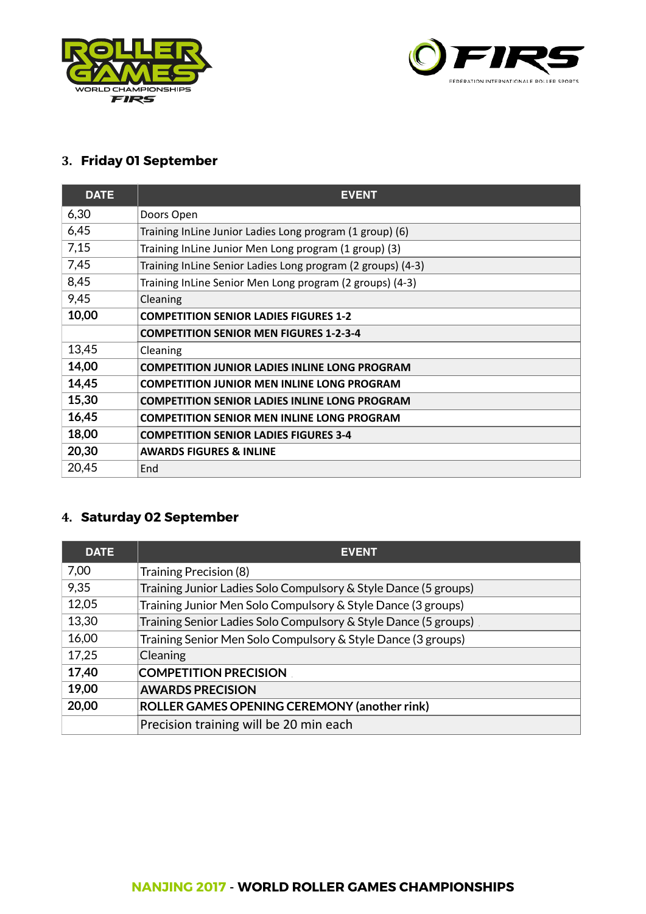



# **3. Friday 01 September**

| <b>DATE</b> | <b>EVENT</b>                                                |
|-------------|-------------------------------------------------------------|
| 6,30        | Doors Open                                                  |
| 6,45        | Training InLine Junior Ladies Long program (1 group) (6)    |
| 7,15        | Training InLine Junior Men Long program (1 group) (3)       |
| 7,45        | Training InLine Senior Ladies Long program (2 groups) (4-3) |
| 8,45        | Training InLine Senior Men Long program (2 groups) (4-3)    |
| 9,45        | Cleaning                                                    |
| 10,00       | <b>COMPETITION SENIOR LADIES FIGURES 1-2</b>                |
|             | <b>COMPETITION SENIOR MEN FIGURES 1-2-3-4</b>               |
| 13,45       | Cleaning                                                    |
| 14,00       | <b>COMPETITION JUNIOR LADIES INLINE LONG PROGRAM</b>        |
| 14,45       | <b>COMPETITION JUNIOR MEN INLINE LONG PROGRAM</b>           |
| 15,30       | <b>COMPETITION SENIOR LADIES INLINE LONG PROGRAM</b>        |
| 16,45       | <b>COMPETITION SENIOR MEN INLINE LONG PROGRAM</b>           |
| 18,00       | <b>COMPETITION SENIOR LADIES FIGURES 3-4</b>                |
| 20,30       | <b>AWARDS FIGURES &amp; INLINE</b>                          |
| 20,45       | End                                                         |

# **4. Saturday 02 September**

| <b>DATE</b> | <b>EVENT</b>                                                    |
|-------------|-----------------------------------------------------------------|
| 7,00        | Training Precision (8)                                          |
| 9,35        | Training Junior Ladies Solo Compulsory & Style Dance (5 groups) |
| 12,05       | Training Junior Men Solo Compulsory & Style Dance (3 groups)    |
| 13,30       | Training Senior Ladies Solo Compulsory & Style Dance (5 groups) |
| 16,00       | Training Senior Men Solo Compulsory & Style Dance (3 groups)    |
| 17,25       | Cleaning                                                        |
| 17,40       | <b>COMPETITION PRECISION</b>                                    |
| 19,00       | <b>AWARDS PRECISION</b>                                         |
| 20,00       | ROLLER GAMES OPENING CEREMONY (another rink)                    |
|             | Precision training will be 20 min each                          |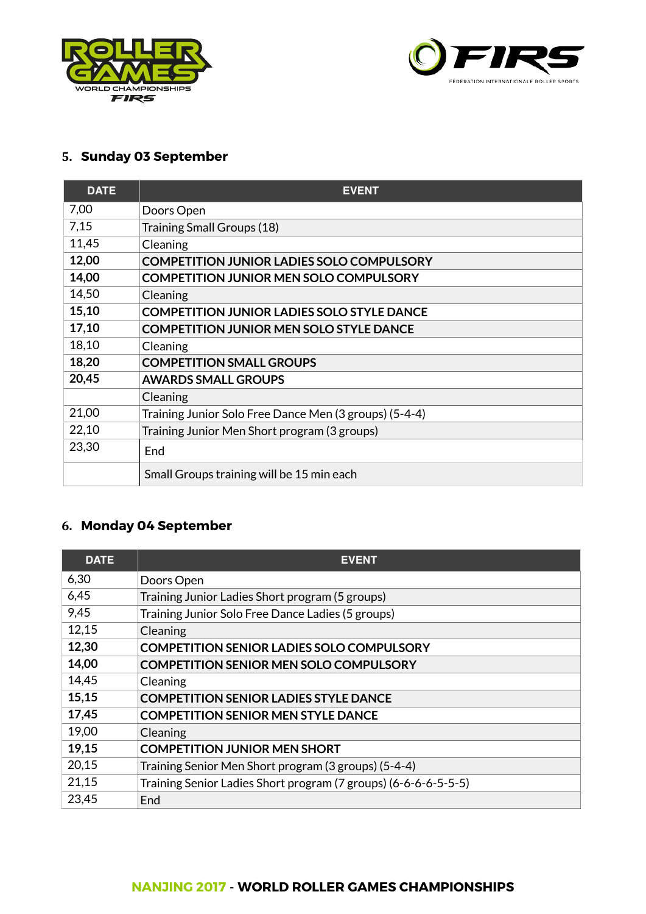



# **5. Sunday 03 September**

| <b>DATE</b> | <b>EVENT</b>                                           |
|-------------|--------------------------------------------------------|
| 7,00        | Doors Open                                             |
| 7,15        | Training Small Groups (18)                             |
| 11,45       | Cleaning                                               |
| 12,00       | <b>COMPETITION JUNIOR LADIES SOLO COMPULSORY</b>       |
| 14,00       | <b>COMPETITION JUNIOR MEN SOLO COMPULSORY</b>          |
| 14,50       | Cleaning                                               |
| 15,10       | <b>COMPETITION JUNIOR LADIES SOLO STYLE DANCE</b>      |
| 17,10       | <b>COMPETITION JUNIOR MEN SOLO STYLE DANCE</b>         |
| 18,10       | Cleaning                                               |
| 18,20       | <b>COMPETITION SMALL GROUPS</b>                        |
| 20,45       | <b>AWARDS SMALL GROUPS</b>                             |
|             | Cleaning                                               |
| 21,00       | Training Junior Solo Free Dance Men (3 groups) (5-4-4) |
| 22,10       | Training Junior Men Short program (3 groups)           |
| 23,30       | End                                                    |
|             | Small Groups training will be 15 min each              |

# **6. Monday 04 September**

| <b>DATE</b> | <b>EVENT</b>                                                    |
|-------------|-----------------------------------------------------------------|
| 6,30        | Doors Open                                                      |
| 6,45        | Training Junior Ladies Short program (5 groups)                 |
| 9,45        | Training Junior Solo Free Dance Ladies (5 groups)               |
| 12,15       | Cleaning                                                        |
| 12,30       | <b>COMPETITION SENIOR LADIES SOLO COMPULSORY</b>                |
| 14,00       | <b>COMPETITION SENIOR MEN SOLO COMPULSORY</b>                   |
| 14,45       | Cleaning                                                        |
| 15,15       | <b>COMPETITION SENIOR LADIES STYLE DANCE</b>                    |
| 17,45       | <b>COMPETITION SENIOR MEN STYLE DANCE</b>                       |
| 19,00       | Cleaning                                                        |
| 19,15       | <b>COMPETITION JUNIOR MEN SHORT</b>                             |
| 20,15       | Training Senior Men Short program (3 groups) (5-4-4)            |
| 21,15       | Training Senior Ladies Short program (7 groups) (6-6-6-6-5-5-5) |
| 23,45       | End                                                             |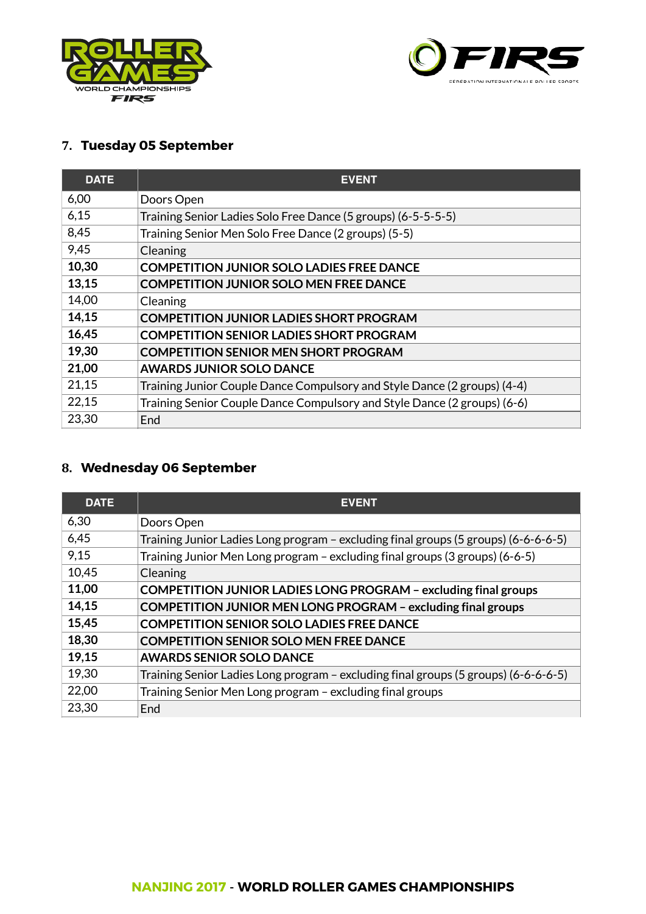



# **7. Tuesday 05 September**

| <b>DATE</b> | <b>EVENT</b>                                                             |
|-------------|--------------------------------------------------------------------------|
| 6,00        | Doors Open                                                               |
| 6,15        | Training Senior Ladies Solo Free Dance (5 groups) (6-5-5-5-5)            |
| 8,45        | Training Senior Men Solo Free Dance (2 groups) (5-5)                     |
| 9,45        | Cleaning                                                                 |
| 10,30       | <b>COMPETITION JUNIOR SOLO LADIES FREE DANCE</b>                         |
| 13,15       | <b>COMPETITION JUNIOR SOLO MEN FREE DANCE</b>                            |
| 14,00       | Cleaning                                                                 |
| 14,15       | <b>COMPETITION JUNIOR LADIES SHORT PROGRAM</b>                           |
| 16,45       | <b>COMPETITION SENIOR LADIES SHORT PROGRAM</b>                           |
| 19,30       | <b>COMPETITION SENIOR MEN SHORT PROGRAM</b>                              |
| 21,00       | <b>AWARDS JUNIOR SOLO DANCE</b>                                          |
| 21,15       | Training Junior Couple Dance Compulsory and Style Dance (2 groups) (4-4) |
| 22,15       | Training Senior Couple Dance Compulsory and Style Dance (2 groups) (6-6) |
| 23,30       | End                                                                      |

### **8. Wednesday 06 September**

| <b>DATE</b> | <b>EVENT</b>                                                                        |
|-------------|-------------------------------------------------------------------------------------|
| 6,30        | Doors Open                                                                          |
| 6,45        | Training Junior Ladies Long program - excluding final groups (5 groups) (6-6-6-6-5) |
| 9,15        | Training Junior Men Long program - excluding final groups (3 groups) (6-6-5)        |
| 10,45       | Cleaning                                                                            |
| 11,00       | <b>COMPETITION JUNIOR LADIES LONG PROGRAM - excluding final groups</b>              |
| 14,15       | <b>COMPETITION JUNIOR MEN LONG PROGRAM - excluding final groups</b>                 |
| 15,45       | <b>COMPETITION SENIOR SOLO LADIES FREE DANCE</b>                                    |
| 18,30       | <b>COMPETITION SENIOR SOLO MEN FREE DANCE</b>                                       |
| 19,15       | <b>AWARDS SENIOR SOLO DANCE</b>                                                     |
| 19,30       | Training Senior Ladies Long program - excluding final groups (5 groups) (6-6-6-6-5) |
| 22,00       | Training Senior Men Long program - excluding final groups                           |
| 23,30       | End                                                                                 |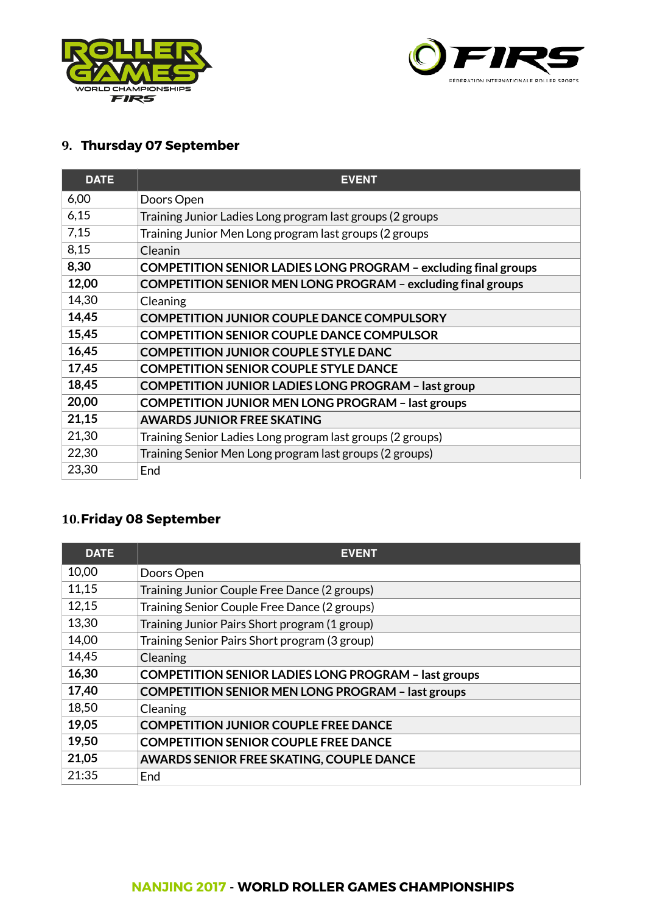



# **9. Thursday 07 September**

| <b>DATE</b> | <b>EVENT</b>                                                        |
|-------------|---------------------------------------------------------------------|
| 6,00        | Doors Open                                                          |
| 6,15        | Training Junior Ladies Long program last groups (2 groups           |
| 7,15        | Training Junior Men Long program last groups (2 groups              |
| 8,15        | Cleanin                                                             |
| 8,30        | COMPETITION SENIOR LADIES LONG PROGRAM - excluding final groups     |
| 12,00       | <b>COMPETITION SENIOR MEN LONG PROGRAM - excluding final groups</b> |
| 14,30       | Cleaning                                                            |
| 14,45       | <b>COMPETITION JUNIOR COUPLE DANCE COMPULSORY</b>                   |
| 15,45       | <b>COMPETITION SENIOR COUPLE DANCE COMPULSOR</b>                    |
| 16,45       | <b>COMPETITION JUNIOR COUPLE STYLE DANC</b>                         |
| 17,45       | <b>COMPETITION SENIOR COUPLE STYLE DANCE</b>                        |
| 18,45       | <b>COMPETITION JUNIOR LADIES LONG PROGRAM - last group</b>          |
| 20,00       | <b>COMPETITION JUNIOR MEN LONG PROGRAM - last groups</b>            |
| 21,15       | <b>AWARDS JUNIOR FREE SKATING</b>                                   |
| 21,30       | Training Senior Ladies Long program last groups (2 groups)          |
| 22,30       | Training Senior Men Long program last groups (2 groups)             |
| 23,30       | End                                                                 |

### **10.Friday 08 September**

| <b>DATE</b> | <b>EVENT</b>                                                |
|-------------|-------------------------------------------------------------|
| 10,00       | Doors Open                                                  |
| 11,15       | Training Junior Couple Free Dance (2 groups)                |
| 12,15       | Training Senior Couple Free Dance (2 groups)                |
| 13,30       | Training Junior Pairs Short program (1 group)               |
| 14,00       | Training Senior Pairs Short program (3 group)               |
| 14,45       | Cleaning                                                    |
| 16,30       | <b>COMPETITION SENIOR LADIES LONG PROGRAM - last groups</b> |
| 17,40       | <b>COMPETITION SENIOR MEN LONG PROGRAM - last groups</b>    |
| 18,50       | Cleaning                                                    |
| 19,05       | <b>COMPETITION JUNIOR COUPLE FREE DANCE</b>                 |
| 19,50       | <b>COMPETITION SENIOR COUPLE FREE DANCE</b>                 |
| 21,05       | AWARDS SENIOR FREE SKATING, COUPLE DANCE                    |
| 21:35       | Fnd                                                         |